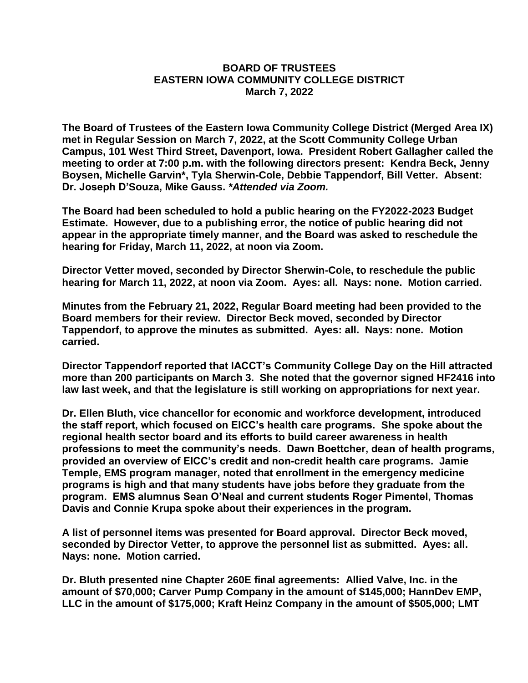## **BOARD OF TRUSTEES EASTERN IOWA COMMUNITY COLLEGE DISTRICT March 7, 2022**

**The Board of Trustees of the Eastern Iowa Community College District (Merged Area IX) met in Regular Session on March 7, 2022, at the Scott Community College Urban Campus, 101 West Third Street, Davenport, Iowa. President Robert Gallagher called the meeting to order at 7:00 p.m. with the following directors present: Kendra Beck, Jenny Boysen, Michelle Garvin\*, Tyla Sherwin-Cole, Debbie Tappendorf, Bill Vetter. Absent: Dr. Joseph D'Souza, Mike Gauss.** *\*Attended via Zoom.*

**The Board had been scheduled to hold a public hearing on the FY2022-2023 Budget Estimate. However, due to a publishing error, the notice of public hearing did not appear in the appropriate timely manner, and the Board was asked to reschedule the hearing for Friday, March 11, 2022, at noon via Zoom.**

**Director Vetter moved, seconded by Director Sherwin-Cole, to reschedule the public hearing for March 11, 2022, at noon via Zoom. Ayes: all. Nays: none. Motion carried.**

**Minutes from the February 21, 2022, Regular Board meeting had been provided to the Board members for their review. Director Beck moved, seconded by Director Tappendorf, to approve the minutes as submitted. Ayes: all. Nays: none. Motion carried.**

**Director Tappendorf reported that IACCT's Community College Day on the Hill attracted more than 200 participants on March 3. She noted that the governor signed HF2416 into law last week, and that the legislature is still working on appropriations for next year.**

**Dr. Ellen Bluth, vice chancellor for economic and workforce development, introduced the staff report, which focused on EICC's health care programs. She spoke about the regional health sector board and its efforts to build career awareness in health professions to meet the community's needs. Dawn Boettcher, dean of health programs, provided an overview of EICC's credit and non-credit health care programs. Jamie Temple, EMS program manager, noted that enrollment in the emergency medicine programs is high and that many students have jobs before they graduate from the program. EMS alumnus Sean O'Neal and current students Roger Pimentel, Thomas Davis and Connie Krupa spoke about their experiences in the program.**

**A list of personnel items was presented for Board approval. Director Beck moved, seconded by Director Vetter, to approve the personnel list as submitted. Ayes: all. Nays: none. Motion carried.**

**Dr. Bluth presented nine Chapter 260E final agreements: Allied Valve, Inc. in the amount of \$70,000; Carver Pump Company in the amount of \$145,000; HannDev EMP, LLC in the amount of \$175,000; Kraft Heinz Company in the amount of \$505,000; LMT**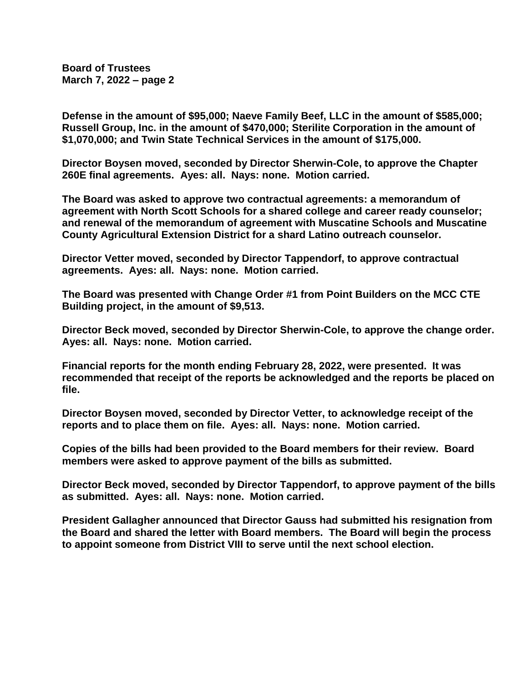**Board of Trustees March 7, 2022 – page 2**

**Defense in the amount of \$95,000; Naeve Family Beef, LLC in the amount of \$585,000; Russell Group, Inc. in the amount of \$470,000; Sterilite Corporation in the amount of \$1,070,000; and Twin State Technical Services in the amount of \$175,000.**

**Director Boysen moved, seconded by Director Sherwin-Cole, to approve the Chapter 260E final agreements. Ayes: all. Nays: none. Motion carried.**

**The Board was asked to approve two contractual agreements: a memorandum of agreement with North Scott Schools for a shared college and career ready counselor; and renewal of the memorandum of agreement with Muscatine Schools and Muscatine County Agricultural Extension District for a shard Latino outreach counselor.**

**Director Vetter moved, seconded by Director Tappendorf, to approve contractual agreements. Ayes: all. Nays: none. Motion carried.**

**The Board was presented with Change Order #1 from Point Builders on the MCC CTE Building project, in the amount of \$9,513.**

**Director Beck moved, seconded by Director Sherwin-Cole, to approve the change order. Ayes: all. Nays: none. Motion carried.**

**Financial reports for the month ending February 28, 2022, were presented. It was recommended that receipt of the reports be acknowledged and the reports be placed on file.**

**Director Boysen moved, seconded by Director Vetter, to acknowledge receipt of the reports and to place them on file. Ayes: all. Nays: none. Motion carried.**

**Copies of the bills had been provided to the Board members for their review. Board members were asked to approve payment of the bills as submitted.**

**Director Beck moved, seconded by Director Tappendorf, to approve payment of the bills as submitted. Ayes: all. Nays: none. Motion carried.**

**President Gallagher announced that Director Gauss had submitted his resignation from the Board and shared the letter with Board members. The Board will begin the process to appoint someone from District VIII to serve until the next school election.**